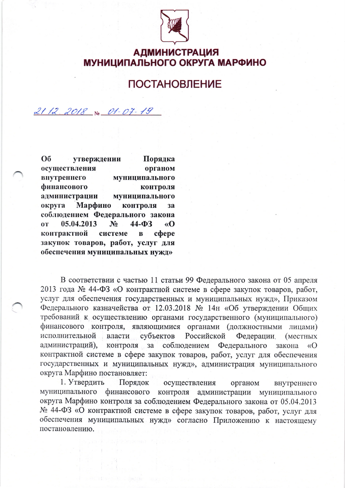

**АДМИНИСТРАЦИЯ** МУНИЦИПАЛЬНОГО ОКРУГА МАРФИНО

## **ПОСТАНОВЛЕНИЕ**

 $2112.2018$  No  $01 - 07 - 19$ 

O<sub>0</sub> утверждении Порядка осуществления органом внутреннего муниципального финансового контроля администрации муниципального Марфино контроля округа **3a** соблюдением Федерального закона 05.04.2013  $\overline{0T}$  $N_2$  $44 - \Phi$ 3  $\langle \langle \mathbf{O} \rangle$ контрактной системе  $\mathbf{B}$ cobepe закупок товаров, работ, услуг для обеспечения муниципальных нужд»

В соответствии с частью 11 статьи 99 Федерального закона от 05 апреля 2013 года № 44-ФЗ «О контрактной системе в сфере закупок товаров, работ, услуг для обеспечения государственных и муниципальных нужд», Приказом Федерального казначейства от 12.03.2018 № 14н «Об утверждении Общих требований к осуществлению органами государственного (муниципального) финансового контроля, являющимися органами (должностными лицами) субъектов исполнительной власти Российской Федерации (местных администраций), контроля за соблюдением Федерального закона  $\langle \langle$ O контрактной системе в сфере закупок товаров, работ, услуг для обеспечения государственных и муниципальных нужд», администрация муниципального округа Марфино постановляет:

1. Утвердить Порядок осуществления органом внутреннего муниципального финансового контроля администрации муниципального округа Марфино контроля за соблюдением Федерального закона от 05.04.2013 № 44-ФЗ «О контрактной системе в сфере закупок товаров, работ, услуг для обеспечения муниципальных нужд» согласно Приложению к настоящему постановлению.